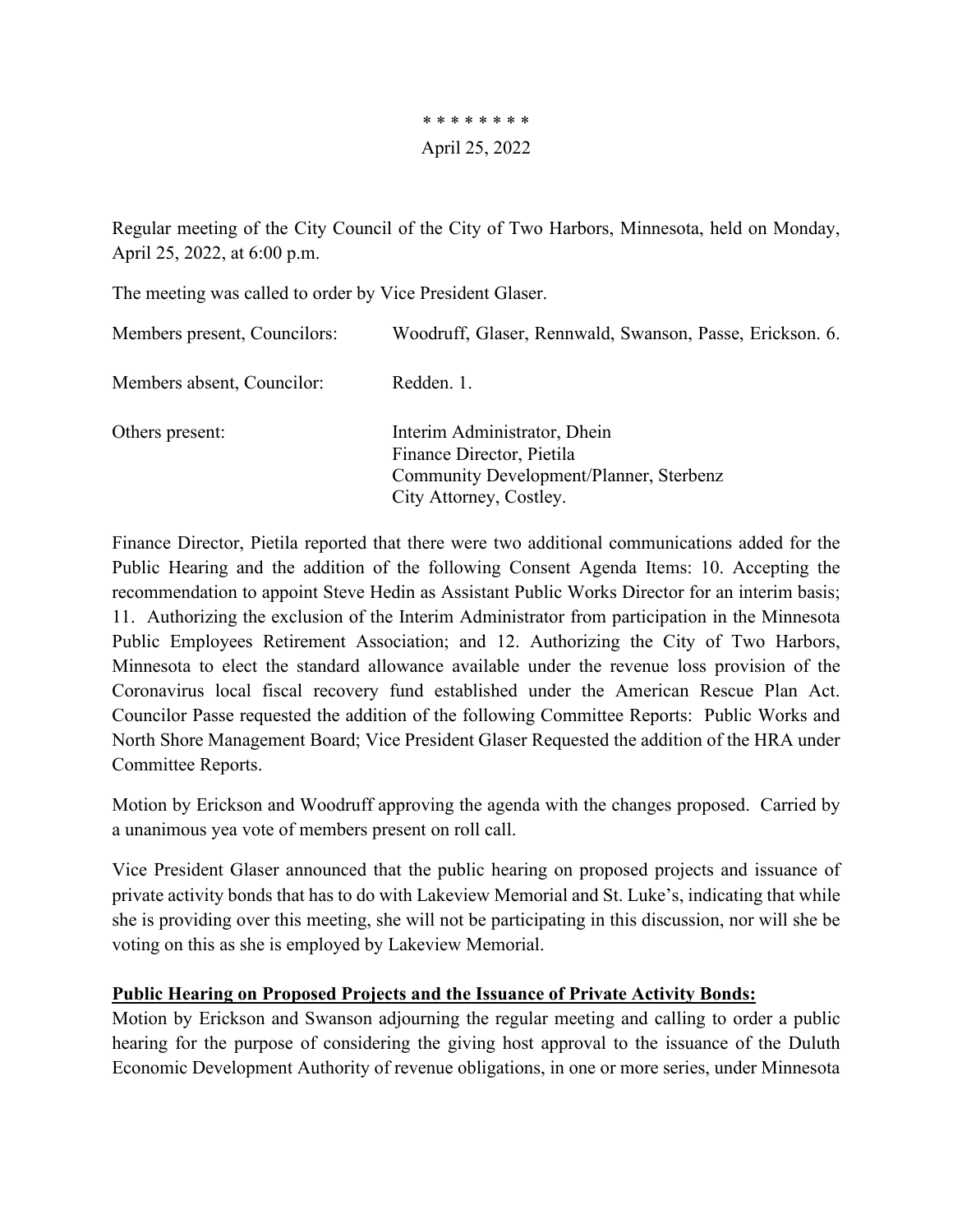\* \* \* \* \* \* \* \* April 25, 2022

Regular meeting of the City Council of the City of Two Harbors, Minnesota, held on Monday, April 25, 2022, at 6:00 p.m.

The meeting was called to order by Vice President Glaser.

| Members present, Councilors: | Woodruff, Glaser, Rennwald, Swanson, Passe, Erickson. 6.                                                                        |
|------------------------------|---------------------------------------------------------------------------------------------------------------------------------|
| Members absent, Councilor:   | Redden, 1.                                                                                                                      |
| Others present:              | Interim Administrator, Dhein<br>Finance Director, Pietila<br>Community Development/Planner, Sterbenz<br>City Attorney, Costley. |

Finance Director, Pietila reported that there were two additional communications added for the Public Hearing and the addition of the following Consent Agenda Items: 10. Accepting the recommendation to appoint Steve Hedin as Assistant Public Works Director for an interim basis; 11. Authorizing the exclusion of the Interim Administrator from participation in the Minnesota Public Employees Retirement Association; and 12. Authorizing the City of Two Harbors, Minnesota to elect the standard allowance available under the revenue loss provision of the Coronavirus local fiscal recovery fund established under the American Rescue Plan Act. Councilor Passe requested the addition of the following Committee Reports: Public Works and North Shore Management Board; Vice President Glaser Requested the addition of the HRA under Committee Reports.

Motion by Erickson and Woodruff approving the agenda with the changes proposed. Carried by a unanimous yea vote of members present on roll call.

Vice President Glaser announced that the public hearing on proposed projects and issuance of private activity bonds that has to do with Lakeview Memorial and St. Luke's, indicating that while she is providing over this meeting, she will not be participating in this discussion, nor will she be voting on this as she is employed by Lakeview Memorial.

## **Public Hearing on Proposed Projects and the Issuance of Private Activity Bonds:**

Motion by Erickson and Swanson adjourning the regular meeting and calling to order a public hearing for the purpose of considering the giving host approval to the issuance of the Duluth Economic Development Authority of revenue obligations, in one or more series, under Minnesota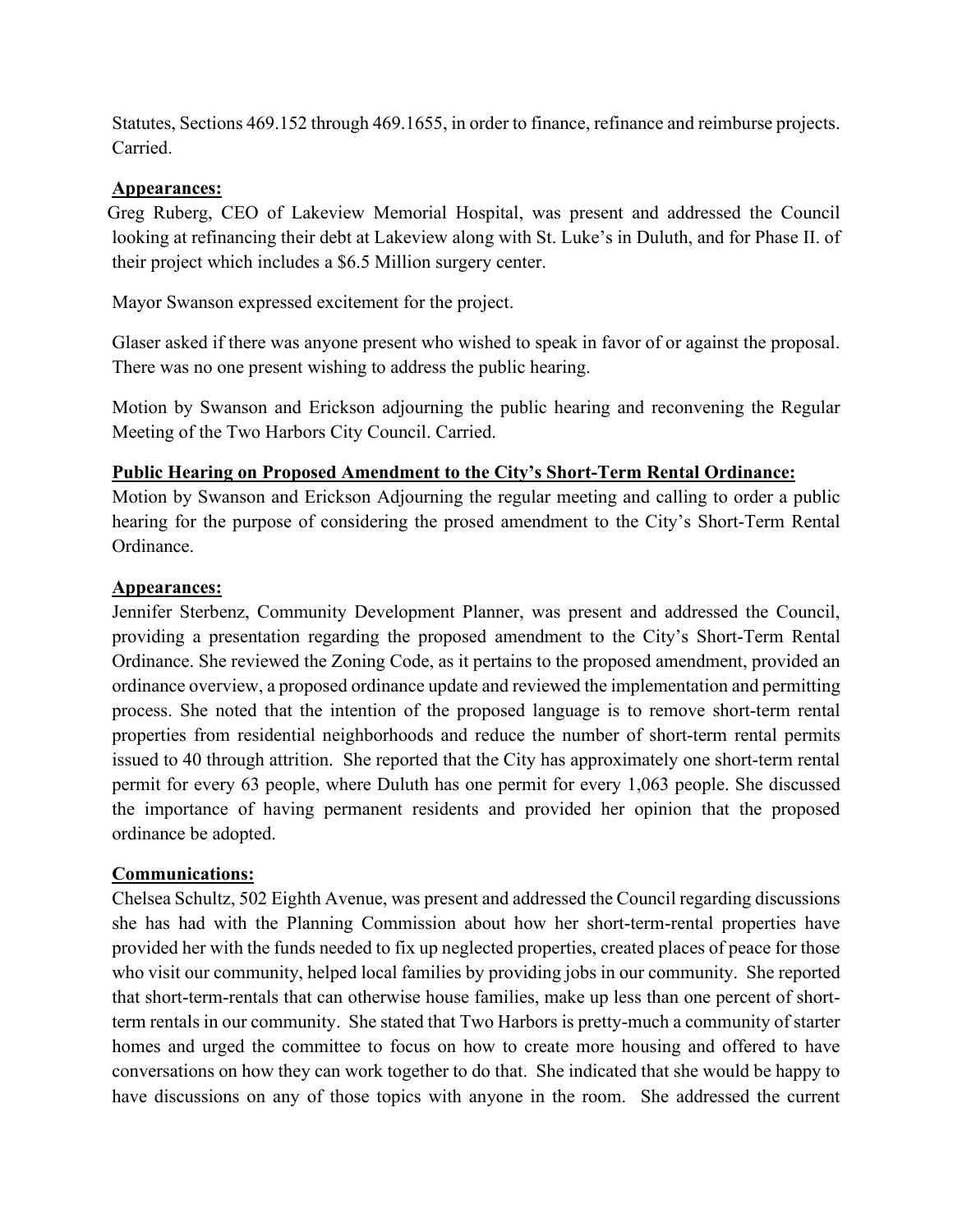Statutes, Sections 469.152 through 469.1655, in order to finance, refinance and reimburse projects. Carried.

#### **Appearances:**

 Greg Ruberg, CEO of Lakeview Memorial Hospital, was present and addressed the Council looking at refinancing their debt at Lakeview along with St. Luke's in Duluth, and for Phase II. of their project which includes a \$6.5 Million surgery center.

Mayor Swanson expressed excitement for the project.

Glaser asked if there was anyone present who wished to speak in favor of or against the proposal. There was no one present wishing to address the public hearing.

Motion by Swanson and Erickson adjourning the public hearing and reconvening the Regular Meeting of the Two Harbors City Council. Carried.

#### **Public Hearing on Proposed Amendment to the City's Short-Term Rental Ordinance:**

Motion by Swanson and Erickson Adjourning the regular meeting and calling to order a public hearing for the purpose of considering the prosed amendment to the City's Short-Term Rental Ordinance.

#### **Appearances:**

Jennifer Sterbenz, Community Development Planner, was present and addressed the Council, providing a presentation regarding the proposed amendment to the City's Short-Term Rental Ordinance. She reviewed the Zoning Code, as it pertains to the proposed amendment, provided an ordinance overview, a proposed ordinance update and reviewed the implementation and permitting process. She noted that the intention of the proposed language is to remove short-term rental properties from residential neighborhoods and reduce the number of short-term rental permits issued to 40 through attrition. She reported that the City has approximately one short-term rental permit for every 63 people, where Duluth has one permit for every 1,063 people. She discussed the importance of having permanent residents and provided her opinion that the proposed ordinance be adopted.

## **Communications:**

Chelsea Schultz, 502 Eighth Avenue, was present and addressed the Council regarding discussions she has had with the Planning Commission about how her short-term-rental properties have provided her with the funds needed to fix up neglected properties, created places of peace for those who visit our community, helped local families by providing jobs in our community. She reported that short-term-rentals that can otherwise house families, make up less than one percent of shortterm rentals in our community. She stated that Two Harbors is pretty-much a community of starter homes and urged the committee to focus on how to create more housing and offered to have conversations on how they can work together to do that. She indicated that she would be happy to have discussions on any of those topics with anyone in the room. She addressed the current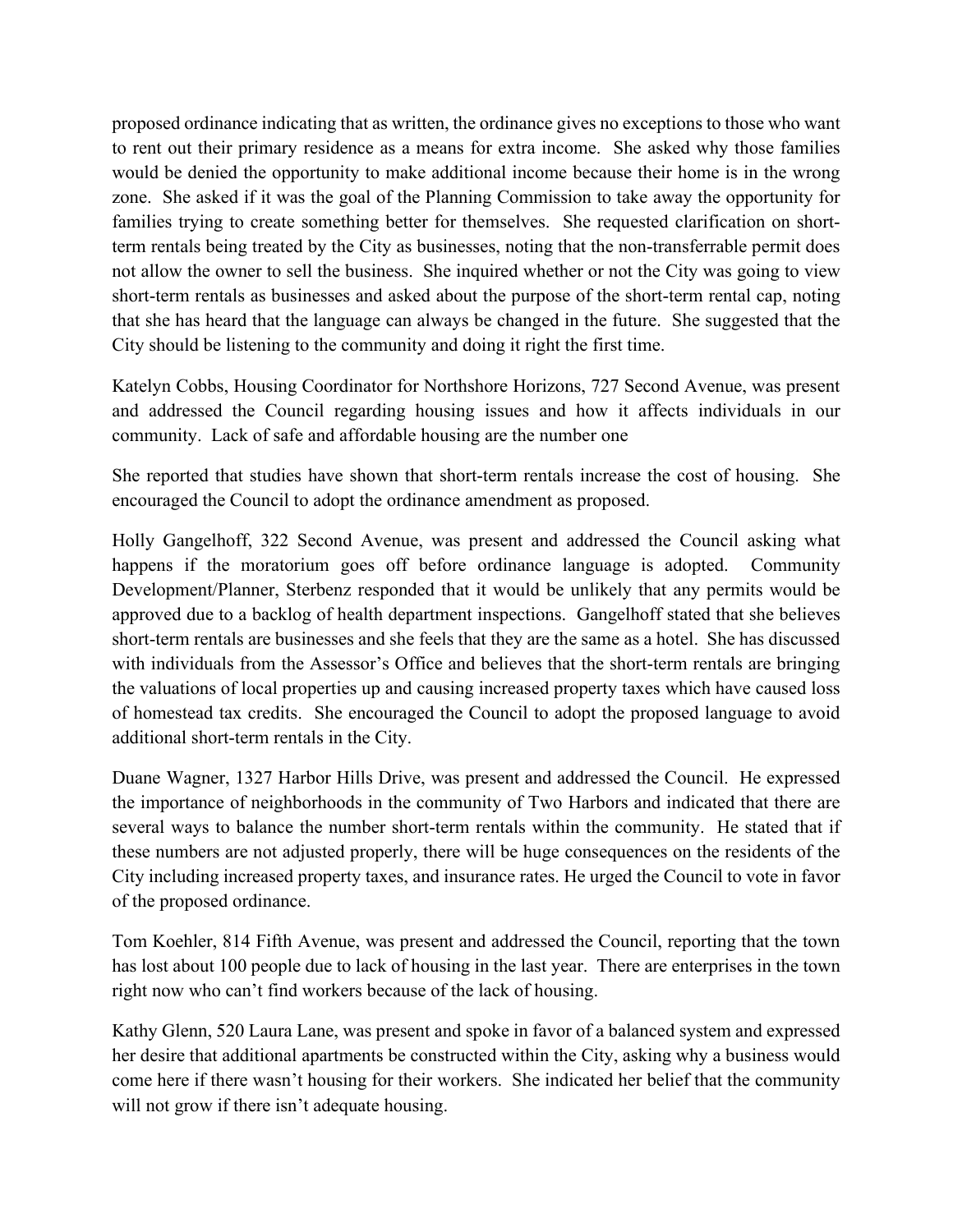proposed ordinance indicating that as written, the ordinance gives no exceptions to those who want to rent out their primary residence as a means for extra income. She asked why those families would be denied the opportunity to make additional income because their home is in the wrong zone. She asked if it was the goal of the Planning Commission to take away the opportunity for families trying to create something better for themselves. She requested clarification on shortterm rentals being treated by the City as businesses, noting that the non-transferrable permit does not allow the owner to sell the business. She inquired whether or not the City was going to view short-term rentals as businesses and asked about the purpose of the short-term rental cap, noting that she has heard that the language can always be changed in the future. She suggested that the City should be listening to the community and doing it right the first time.

Katelyn Cobbs, Housing Coordinator for Northshore Horizons, 727 Second Avenue, was present and addressed the Council regarding housing issues and how it affects individuals in our community. Lack of safe and affordable housing are the number one

She reported that studies have shown that short-term rentals increase the cost of housing. She encouraged the Council to adopt the ordinance amendment as proposed.

Holly Gangelhoff, 322 Second Avenue, was present and addressed the Council asking what happens if the moratorium goes off before ordinance language is adopted. Community Development/Planner, Sterbenz responded that it would be unlikely that any permits would be approved due to a backlog of health department inspections. Gangelhoff stated that she believes short-term rentals are businesses and she feels that they are the same as a hotel. She has discussed with individuals from the Assessor's Office and believes that the short-term rentals are bringing the valuations of local properties up and causing increased property taxes which have caused loss of homestead tax credits. She encouraged the Council to adopt the proposed language to avoid additional short-term rentals in the City.

Duane Wagner, 1327 Harbor Hills Drive, was present and addressed the Council. He expressed the importance of neighborhoods in the community of Two Harbors and indicated that there are several ways to balance the number short-term rentals within the community. He stated that if these numbers are not adjusted properly, there will be huge consequences on the residents of the City including increased property taxes, and insurance rates. He urged the Council to vote in favor of the proposed ordinance.

Tom Koehler, 814 Fifth Avenue, was present and addressed the Council, reporting that the town has lost about 100 people due to lack of housing in the last year. There are enterprises in the town right now who can't find workers because of the lack of housing.

Kathy Glenn, 520 Laura Lane, was present and spoke in favor of a balanced system and expressed her desire that additional apartments be constructed within the City, asking why a business would come here if there wasn't housing for their workers. She indicated her belief that the community will not grow if there isn't adequate housing.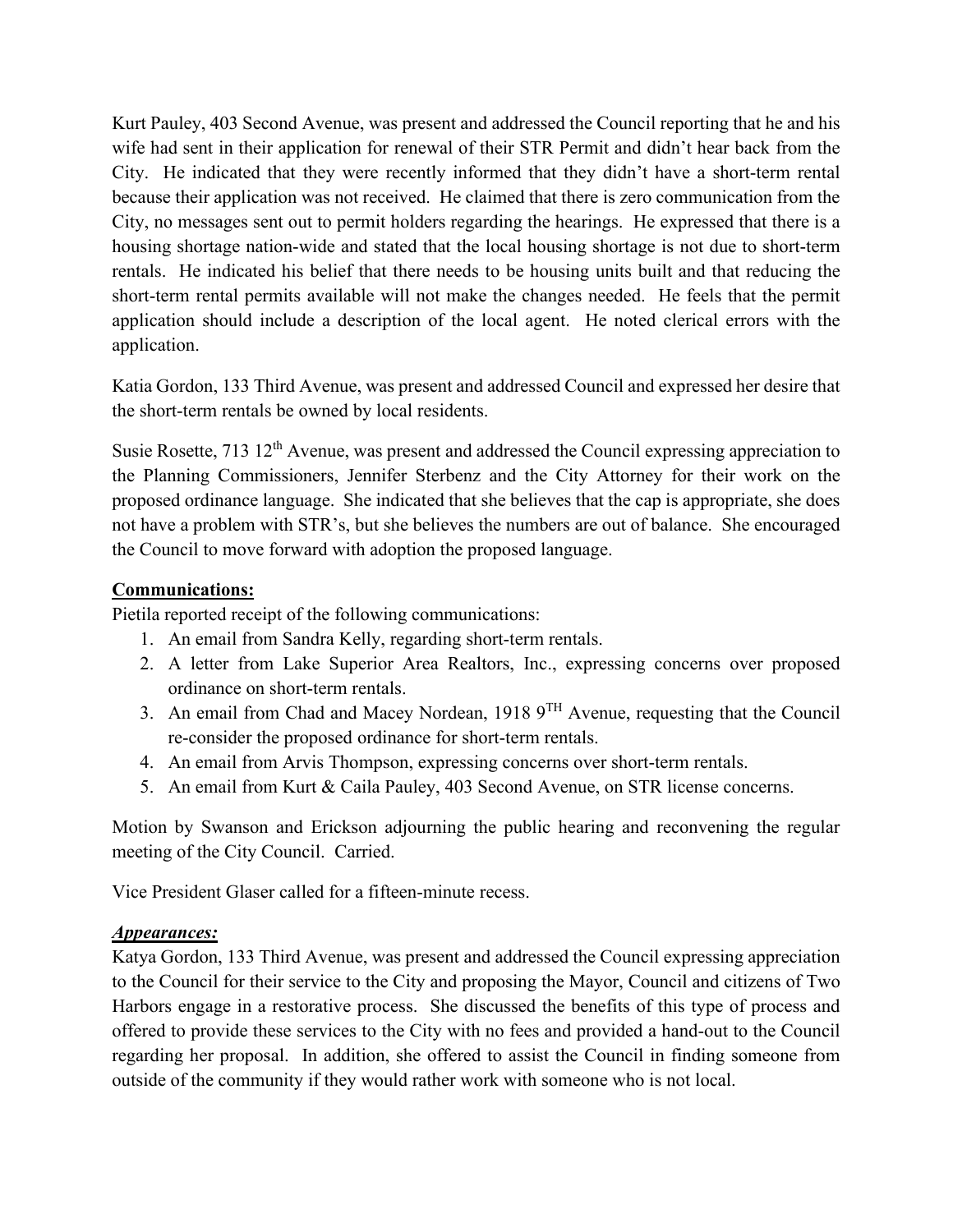Kurt Pauley, 403 Second Avenue, was present and addressed the Council reporting that he and his wife had sent in their application for renewal of their STR Permit and didn't hear back from the City. He indicated that they were recently informed that they didn't have a short-term rental because their application was not received. He claimed that there is zero communication from the City, no messages sent out to permit holders regarding the hearings. He expressed that there is a housing shortage nation-wide and stated that the local housing shortage is not due to short-term rentals. He indicated his belief that there needs to be housing units built and that reducing the short-term rental permits available will not make the changes needed. He feels that the permit application should include a description of the local agent. He noted clerical errors with the application.

Katia Gordon, 133 Third Avenue, was present and addressed Council and expressed her desire that the short-term rentals be owned by local residents.

Susie Rosette, 713 12<sup>th</sup> Avenue, was present and addressed the Council expressing appreciation to the Planning Commissioners, Jennifer Sterbenz and the City Attorney for their work on the proposed ordinance language. She indicated that she believes that the cap is appropriate, she does not have a problem with STR's, but she believes the numbers are out of balance. She encouraged the Council to move forward with adoption the proposed language.

## **Communications:**

Pietila reported receipt of the following communications:

- 1. An email from Sandra Kelly, regarding short-term rentals.
- 2. A letter from Lake Superior Area Realtors, Inc., expressing concerns over proposed ordinance on short-term rentals.
- 3. An email from Chad and Macey Nordean, 1918 9TH Avenue, requesting that the Council re-consider the proposed ordinance for short-term rentals.
- 4. An email from Arvis Thompson, expressing concerns over short-term rentals.
- 5. An email from Kurt & Caila Pauley, 403 Second Avenue, on STR license concerns.

Motion by Swanson and Erickson adjourning the public hearing and reconvening the regular meeting of the City Council. Carried.

Vice President Glaser called for a fifteen-minute recess.

## *Appearances:*

Katya Gordon, 133 Third Avenue, was present and addressed the Council expressing appreciation to the Council for their service to the City and proposing the Mayor, Council and citizens of Two Harbors engage in a restorative process. She discussed the benefits of this type of process and offered to provide these services to the City with no fees and provided a hand-out to the Council regarding her proposal. In addition, she offered to assist the Council in finding someone from outside of the community if they would rather work with someone who is not local.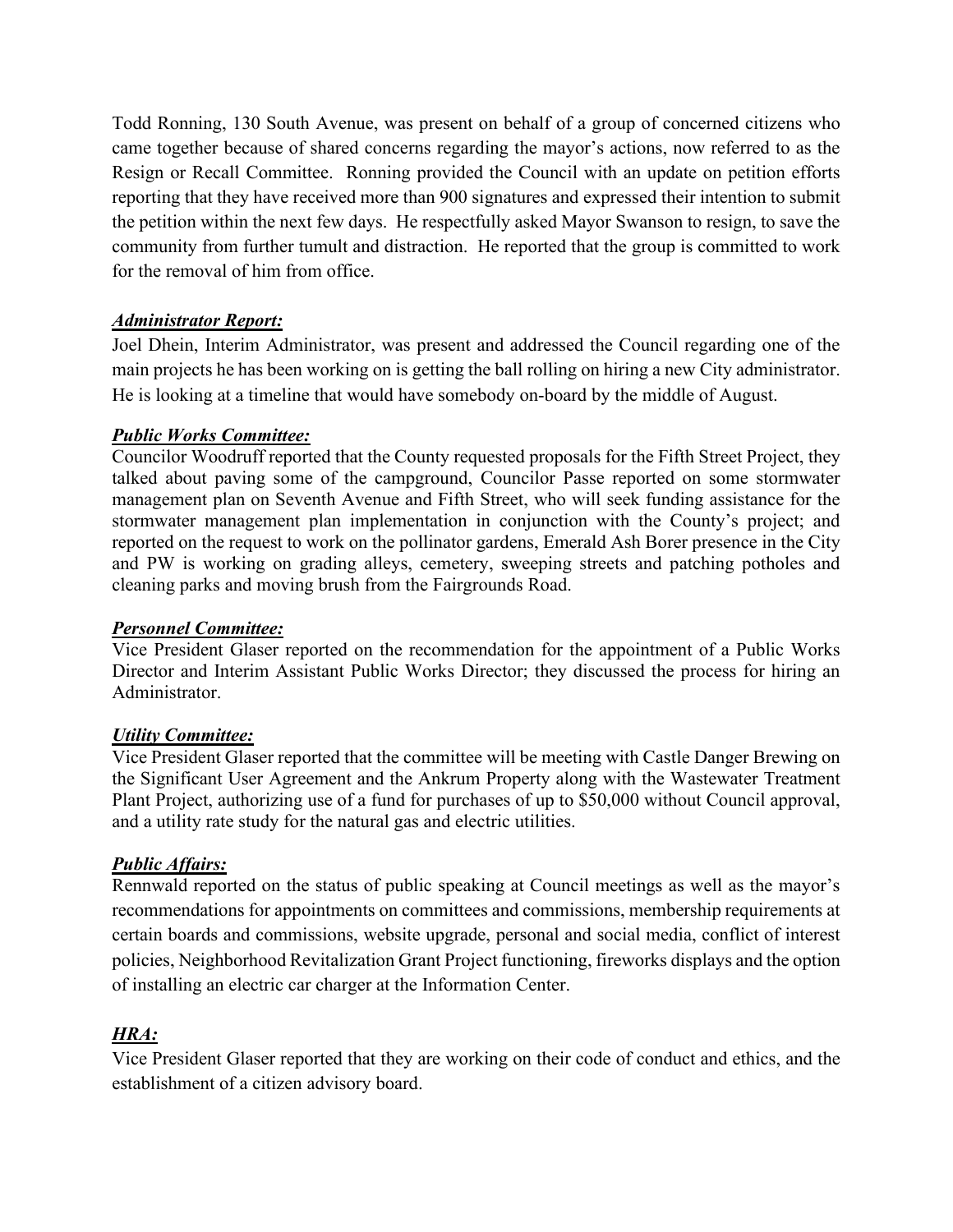Todd Ronning, 130 South Avenue, was present on behalf of a group of concerned citizens who came together because of shared concerns regarding the mayor's actions, now referred to as the Resign or Recall Committee. Ronning provided the Council with an update on petition efforts reporting that they have received more than 900 signatures and expressed their intention to submit the petition within the next few days. He respectfully asked Mayor Swanson to resign, to save the community from further tumult and distraction. He reported that the group is committed to work for the removal of him from office.

## *Administrator Report:*

Joel Dhein, Interim Administrator, was present and addressed the Council regarding one of the main projects he has been working on is getting the ball rolling on hiring a new City administrator. He is looking at a timeline that would have somebody on-board by the middle of August.

## *Public Works Committee:*

Councilor Woodruff reported that the County requested proposals for the Fifth Street Project, they talked about paving some of the campground, Councilor Passe reported on some stormwater management plan on Seventh Avenue and Fifth Street, who will seek funding assistance for the stormwater management plan implementation in conjunction with the County's project; and reported on the request to work on the pollinator gardens, Emerald Ash Borer presence in the City and PW is working on grading alleys, cemetery, sweeping streets and patching potholes and cleaning parks and moving brush from the Fairgrounds Road.

## *Personnel Committee:*

Vice President Glaser reported on the recommendation for the appointment of a Public Works Director and Interim Assistant Public Works Director; they discussed the process for hiring an Administrator.

# *Utility Committee:*

Vice President Glaser reported that the committee will be meeting with Castle Danger Brewing on the Significant User Agreement and the Ankrum Property along with the Wastewater Treatment Plant Project, authorizing use of a fund for purchases of up to \$50,000 without Council approval, and a utility rate study for the natural gas and electric utilities.

# *Public Affairs:*

Rennwald reported on the status of public speaking at Council meetings as well as the mayor's recommendations for appointments on committees and commissions, membership requirements at certain boards and commissions, website upgrade, personal and social media, conflict of interest policies, Neighborhood Revitalization Grant Project functioning, fireworks displays and the option of installing an electric car charger at the Information Center.

# *HRA:*

Vice President Glaser reported that they are working on their code of conduct and ethics, and the establishment of a citizen advisory board.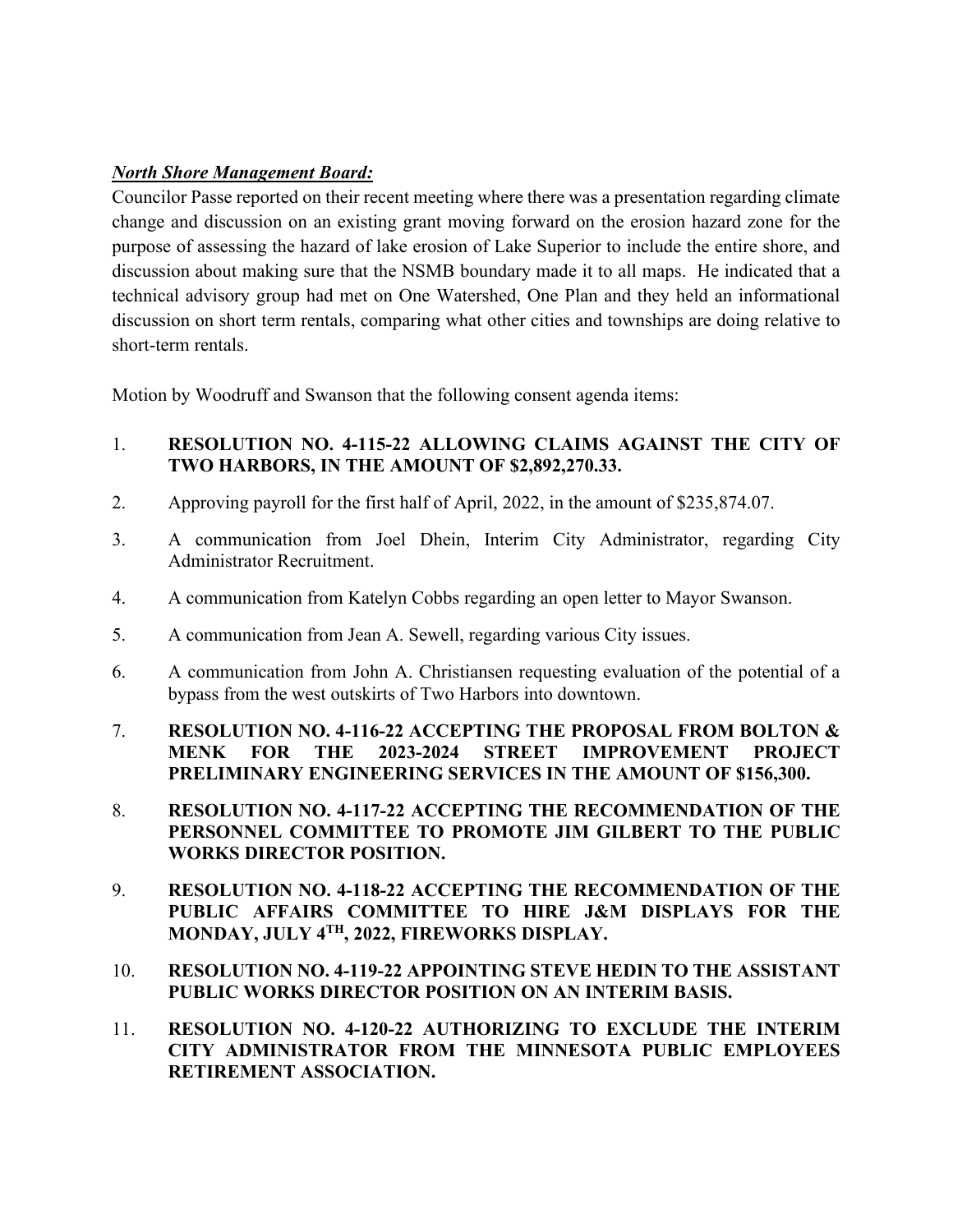## *North Shore Management Board:*

Councilor Passe reported on their recent meeting where there was a presentation regarding climate change and discussion on an existing grant moving forward on the erosion hazard zone for the purpose of assessing the hazard of lake erosion of Lake Superior to include the entire shore, and discussion about making sure that the NSMB boundary made it to all maps. He indicated that a technical advisory group had met on One Watershed, One Plan and they held an informational discussion on short term rentals, comparing what other cities and townships are doing relative to short-term rentals.

Motion by Woodruff and Swanson that the following consent agenda items:

- 1. **RESOLUTION NO. 4-115-22 ALLOWING CLAIMS AGAINST THE CITY OF TWO HARBORS, IN THE AMOUNT OF \$2,892,270.33.**
- 2. Approving payroll for the first half of April, 2022, in the amount of \$235,874.07.
- 3. A communication from Joel Dhein, Interim City Administrator, regarding City Administrator Recruitment.
- 4. A communication from Katelyn Cobbs regarding an open letter to Mayor Swanson.
- 5. A communication from Jean A. Sewell, regarding various City issues.
- 6. A communication from John A. Christiansen requesting evaluation of the potential of a bypass from the west outskirts of Two Harbors into downtown.
- 7. **RESOLUTION NO. 4-116-22 ACCEPTING THE PROPOSAL FROM BOLTON & MENK FOR THE 2023-2024 STREET IMPROVEMENT PROJECT PRELIMINARY ENGINEERING SERVICES IN THE AMOUNT OF \$156,300.**
- 8. **RESOLUTION NO. 4-117-22 ACCEPTING THE RECOMMENDATION OF THE PERSONNEL COMMITTEE TO PROMOTE JIM GILBERT TO THE PUBLIC WORKS DIRECTOR POSITION.**
- 9. **RESOLUTION NO. 4-118-22 ACCEPTING THE RECOMMENDATION OF THE PUBLIC AFFAIRS COMMITTEE TO HIRE J&M DISPLAYS FOR THE MONDAY, JULY 4TH, 2022, FIREWORKS DISPLAY.**
- 10. **RESOLUTION NO. 4-119-22 APPOINTING STEVE HEDIN TO THE ASSISTANT PUBLIC WORKS DIRECTOR POSITION ON AN INTERIM BASIS.**
- 11. **RESOLUTION NO. 4-120-22 AUTHORIZING TO EXCLUDE THE INTERIM CITY ADMINISTRATOR FROM THE MINNESOTA PUBLIC EMPLOYEES RETIREMENT ASSOCIATION.**